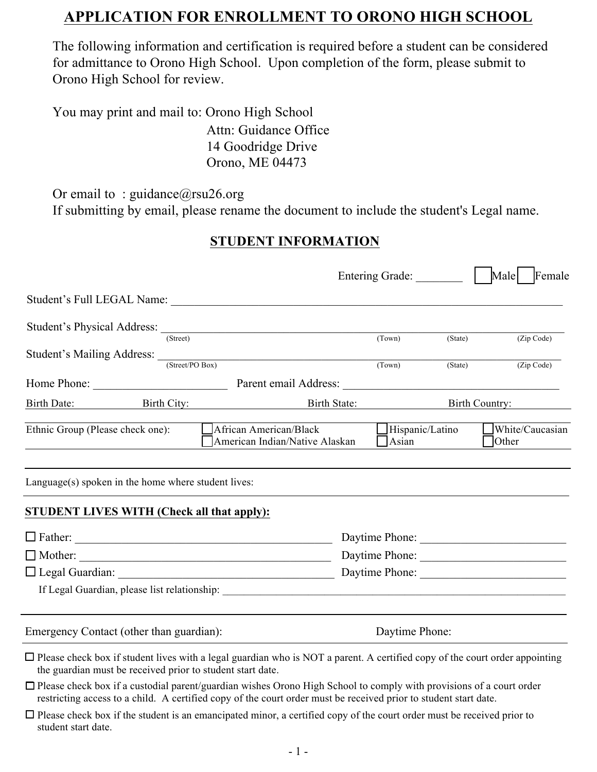## **APPLICATION FOR ENROLLMENT TO ORONO HIGH SCHOOL**

The following information and certification is required before a student can be considered for admittance to Orono High School. Upon completion of the form, please submit to Orono High School for review.

You may print and mail to: Orono High School

Attn: Guidance Office 14 Goodridge Drive Orono, ME 04473

Or email to: guidance@rsu26.org

If submitting by email, please rename the document to include the student's Legal name.

## **STUDENT INFORMATION**

|                                                       |          |                                                          | Entering Grade:                         |         | Male<br>Female           |
|-------------------------------------------------------|----------|----------------------------------------------------------|-----------------------------------------|---------|--------------------------|
|                                                       |          |                                                          |                                         |         |                          |
|                                                       |          |                                                          |                                         |         |                          |
|                                                       | (Street) |                                                          | (Town)                                  | (State) | (Zip Code)               |
|                                                       |          | Student's Mailing Address: (Street/PO Box)               | (Town)                                  | (State) | (Zip Code)               |
| Home Phone:                                           |          |                                                          |                                         |         |                          |
|                                                       |          | Birth Date: Birth City: Birth State:                     |                                         |         | Birth Country:           |
| Ethnic Group (Please check one):                      |          | African American/Black<br>American Indian/Native Alaskan | $\Box$ Hispanic/Latino<br>$\Delta$ sian |         | White/Caucasian<br>Other |
| $Language(s)$ spoken in the home where student lives: |          |                                                          |                                         |         |                          |
| <b>STUDENT LIVES WITH (Check all that apply):</b>     |          |                                                          |                                         |         |                          |
|                                                       |          |                                                          |                                         |         | Daytime Phone:           |
|                                                       |          |                                                          |                                         |         |                          |
|                                                       |          | Daytime Phone:                                           |                                         |         |                          |
|                                                       |          |                                                          |                                         |         |                          |
| Emergency Contact (other than guardian):              |          | Daytime Phone:                                           |                                         |         |                          |

 $\Box$  Please check box if student lives with a legal guardian who is NOT a parent. A certified copy of the court order appointing the guardian must be received prior to student start date.

- $\Box$  Please check box if a custodial parent/guardian wishes Orono High School to comply with provisions of a court order restricting access to a child. A certified copy of the court order must be received prior to student start date.
- $\Box$  Please check box if the student is an emancipated minor, a certified copy of the court order must be received prior to student start date.